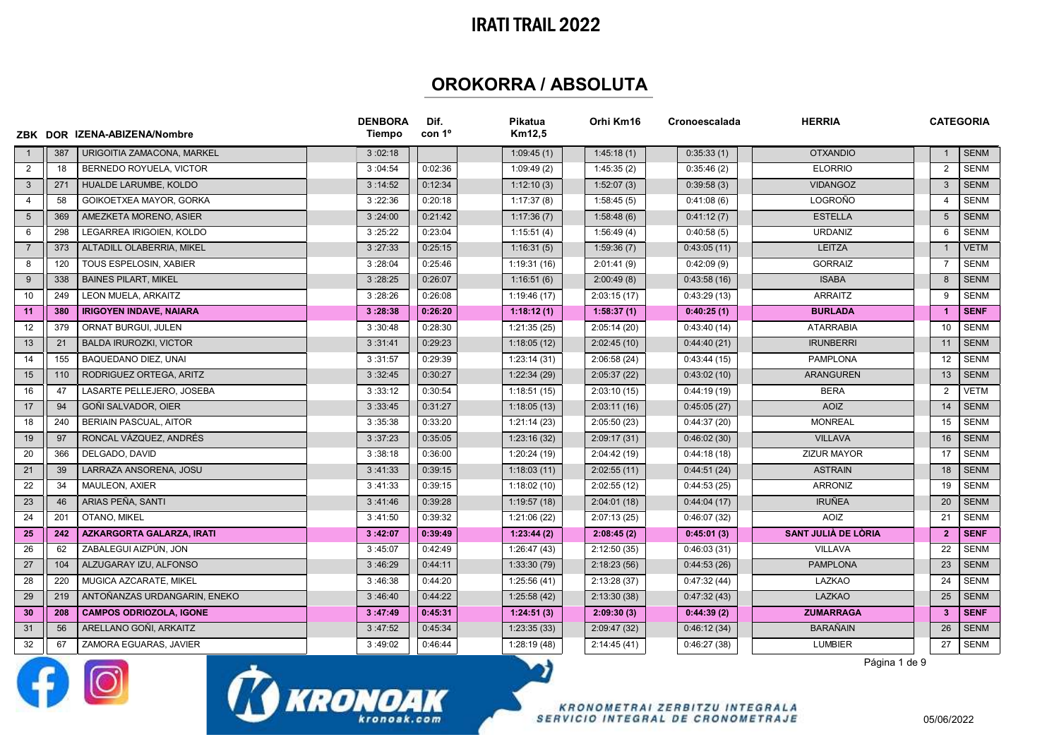## IRATI TRAIL 2022

## OROKORRA / ABSOLUTA

|                 |     | ZBK DOR IZENA-ABIZENA/Nombre     | <b>DENBORA</b><br>Tiempo | Dif.<br>con 1 <sup>o</sup> | Pikatua<br>Km12,5 | Orhi Km16    | Cronoescalada | <b>HERRIA</b>       |                         | <b>CATEGORIA</b> |
|-----------------|-----|----------------------------------|--------------------------|----------------------------|-------------------|--------------|---------------|---------------------|-------------------------|------------------|
| $\overline{1}$  | 387 | URIGOITIA ZAMACONA, MARKEL       | 3:02:18                  |                            | 1:09:45(1)        | 1:45:18(1)   | 0:35:33(1)    | <b>OTXANDIO</b>     |                         | <b>SENM</b>      |
| 2               | 18  | BERNEDO ROYUELA, VICTOR          | 3:04:54                  | 0:02:36                    | 1:09:49(2)        | 1:45:35(2)   | 0:35:46(2)    | <b>ELORRIO</b>      | 2                       | <b>SENM</b>      |
| $\mathbf{3}$    | 271 | HUALDE LARUMBE, KOLDO            | 3:14:52                  | 0:12:34                    | 1:12:10(3)        | 1:52:07(3)   | 0:39:58(3)    | <b>VIDANGOZ</b>     | $\mathbf{3}$            | <b>SENM</b>      |
| $\overline{4}$  | 58  | GOIKOETXEA MAYOR, GORKA          | 3:22:36                  | 0:20:18                    | 1:17:37(8)        | 1:58:45(5)   | 0:41:08(6)    | <b>LOGROÑO</b>      | $\overline{4}$          | <b>SENM</b>      |
| $5\overline{)}$ | 369 | AMEZKETA MORENO, ASIER           | 3:24:00                  | 0:21:42                    | 1:17:36(7)        | 1:58:48(6)   | 0:41:12(7)    | <b>ESTELLA</b>      | 5                       | <b>SENM</b>      |
| 6               | 298 | LEGARREA IRIGOIEN, KOLDO         | 3:25:22                  | 0:23:04                    | 1:15:51(4)        | 1:56:49(4)   | 0:40:58(5)    | <b>URDANIZ</b>      | 6                       | <b>SENM</b>      |
| $\overline{7}$  | 373 | ALTADILL OLABERRIA, MIKEL        | 3:27:33                  | 0:25:15                    | 1:16:31(5)        | 1:59:36(7)   | 0:43:05(11)   | <b>LEITZA</b>       | $\overline{1}$          | <b>VETM</b>      |
| 8               | 120 | TOUS ESPELOSIN, XABIER           | 3:28:04                  | 0:25:46                    | 1:19:31(16)       | 2:01:41(9)   | 0:42:09(9)    | <b>GORRAIZ</b>      | $\overline{7}$          | <b>SENM</b>      |
| 9               | 338 | <b>BAINES PILART, MIKEL</b>      | 3:28:25                  | 0:26:07                    | 1:16:51(6)        | 2:00:49(8)   | 0:43:58(16)   | <b>ISABA</b>        | 8                       | <b>SENM</b>      |
| 10              | 249 | LEON MUELA, ARKAITZ              | 3:28:26                  | 0:26:08                    | 1:19:46(17)       | 2:03:15(17)  | 0:43:29(13)   | ARRAITZ             | 9                       | <b>SENM</b>      |
| 11              | 380 | <b>IRIGOYEN INDAVE, NAIARA</b>   | 3:28:38                  | 0:26:20                    | 1:18:12(1)        | 1:58:37(1)   | 0:40:25(1)    | <b>BURLADA</b>      | $\overline{1}$          | <b>SENF</b>      |
| 12              | 379 | ORNAT BURGUI, JULEN              | 3:30:48                  | 0:28:30                    | 1:21:35(25)       | 2:05:14(20)  | 0:43:40(14)   | <b>ATARRABIA</b>    | 10                      | <b>SENM</b>      |
| 13              | 21  | <b>BALDA IRUROZKI, VICTOR</b>    | 3:31:41                  | 0:29:23                    | 1:18:05(12)       | 2:02:45(10)  | 0:44:40(21)   | <b>IRUNBERRI</b>    | 11                      | <b>SENM</b>      |
| 14              | 155 | BAQUEDANO DIEZ, UNAI             | 3:31:57                  | 0:29:39                    | 1:23:14(31)       | 2:06:58(24)  | 0:43:44(15)   | <b>PAMPLONA</b>     | 12                      | <b>SENM</b>      |
| 15              | 110 | RODRIGUEZ ORTEGA, ARITZ          | 3:32:45                  | 0:30:27                    | 1:22:34(29)       | 2:05:37(22)  | 0:43:02(10)   | <b>ARANGUREN</b>    | 13                      | <b>SENM</b>      |
| 16              | 47  | LASARTE PELLEJERO, JOSEBA        | 3:33:12                  | 0:30:54                    | 1:18:51(15)       | 2:03:10(15)  | 0:44:19(19)   | <b>BERA</b>         | $\overline{2}$          | <b>VETM</b>      |
| 17              | 94  | GOÑI SALVADOR, OIER              | 3:33:45                  | 0:31:27                    | 1:18:05(13)       | 2:03:11(16)  | 0:45:05(27)   | <b>AOIZ</b>         | 14                      | <b>SENM</b>      |
| 18              | 240 | BERIAIN PASCUAL, AITOR           | 3:35:38                  | 0:33:20                    | 1:21:14(23)       | 2:05:50(23)  | 0:44:37(20)   | <b>MONREAL</b>      | 15                      | <b>SENM</b>      |
| 19              | 97  | RONCAL VÁZQUEZ, ANDRÉS           | 3:37:23                  | 0:35:05                    | 1:23:16(32)       | 2:09:17(31)  | 0:46:02(30)   | <b>VILLAVA</b>      | 16                      | <b>SENM</b>      |
| 20              | 366 | DELGADO, DAVID                   | 3:38:18                  | 0:36:00                    | 1:20:24(19)       | 2:04:42(19)  | 0:44:18(18)   | <b>ZIZUR MAYOR</b>  | 17                      | <b>SENM</b>      |
| 21              | 39  | LARRAZA ANSORENA, JOSU           | 3:41:33                  | 0:39:15                    | 1:18:03(11)       | 2:02:55(11)  | 0:44:51(24)   | <b>ASTRAIN</b>      | 18                      | <b>SENM</b>      |
| 22              | 34  | <b>MAULEON, AXIER</b>            | 3:41:33                  | 0:39:15                    | 1:18:02(10)       | 2:02:55(12)  | 0:44:53(25)   | <b>ARRONIZ</b>      | 19                      | <b>SENM</b>      |
| 23              | 46  | ARIAS PEÑA, SANTI                | 3:41:46                  | 0:39:28                    | 1:19:57(18)       | 2:04:01(18)  | 0:44:04(17)   | <b>IRUÑEA</b>       | 20                      | <b>SENM</b>      |
| 24              | 201 | <b>OTANO. MIKEL</b>              | 3:41:50                  | 0:39:32                    | 1:21:06(22)       | 2:07:13(25)  | 0:46:07(32)   | <b>AOIZ</b>         | 21                      | <b>SENM</b>      |
| 25              | 242 | <b>AZKARGORTA GALARZA, IRATI</b> | 3:42:07                  | 0:39:49                    | 1:23:44(2)        | 2:08:45(2)   | 0:45:01(3)    | SANT JULIÀ DE LÒRIA | $\overline{2}$          | <b>SENF</b>      |
| 26              | 62  | ZABALEGUI AIZPÚN, JON            | 3:45:07                  | 0:42:49                    | 1:26:47(43)       | 2:12:50(35)  | 0:46:03(31)   | <b>VILLAVA</b>      | 22                      | <b>SENM</b>      |
| 27              | 104 | ALZUGARAY IZU, ALFONSO           | 3:46:29                  | 0:44:11                    | 1:33:30(79)       | 2:18:23(56)  | 0:44:53(26)   | <b>PAMPLONA</b>     | 23                      | <b>SENM</b>      |
| 28              | 220 | MUGICA AZCARATE, MIKEL           | 3:46:38                  | 0:44:20                    | 1:25:56(41)       | 2:13:28(37)  | 0:47:32(44)   | LAZKAO              | 24                      | <b>SENM</b>      |
| 29              | 219 | ANTOÑANZAS URDANGARIN, ENEKO     | 3:46:40                  | 0:44:22                    | 1:25:58(42)       | 2:13:30(38)  | 0:47:32(43)   | <b>LAZKAO</b>       | 25                      | <b>SENM</b>      |
| 30              | 208 | <b>CAMPOS ODRIOZOLA, IGONE</b>   | 3:47:49                  | 0:45:31                    | 1:24:51(3)        | 2:09:30(3)   | 0:44:39(2)    | <b>ZUMARRAGA</b>    | $\overline{\mathbf{3}}$ | <b>SENF</b>      |
| 31              | 56  | ARELLANO GOÑI, ARKAITZ           | 3:47:52                  | 0:45:34                    | 1:23:35(33)       | 2:09:47 (32) | 0:46:12(34)   | <b>BARAÑAIN</b>     | 26                      | <b>SENM</b>      |
| 32              | 67  | ZAMORA EGUARAS, JAVIER           | 3:49:02                  | 0:46:44                    | 1:28:19(48)       | 2:14:45(41)  | 0:46:27(38)   | <b>LUMBIER</b>      | 27                      | SENM             |
|                 |     |                                  |                          |                            | - 1               |              |               | Página 1 de 9       |                         |                  |





**KRONOMETRAI ZERBITZU INTEGRALA** SERVICIO INTEGRAL DE CRONOMETRAJE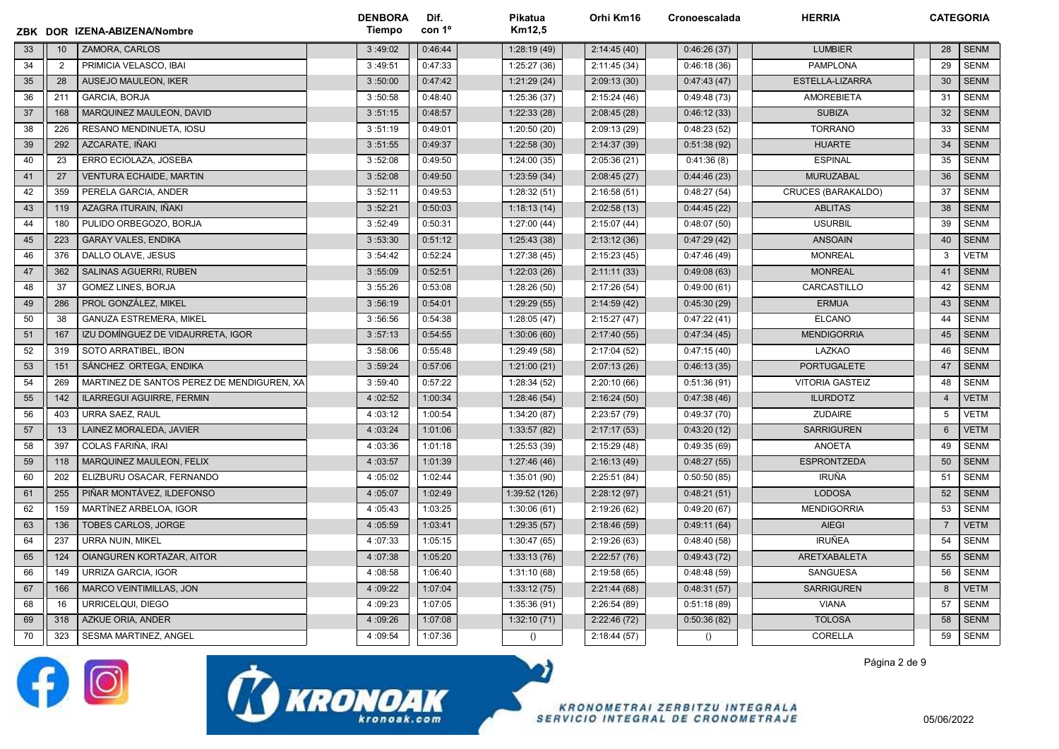|    |                | ZBK DOR IZENA-ABIZENA/Nombre               | <b>DENBORA</b><br>Tiempo | Dif.<br>con 1 <sup>o</sup> | Pikatua<br>Km12,5 | Orhi Km16    | Cronoescalada    | <b>HERRIA</b>             |                | <b>CATEGORIA</b> |
|----|----------------|--------------------------------------------|--------------------------|----------------------------|-------------------|--------------|------------------|---------------------------|----------------|------------------|
| 33 | 10             | ZAMORA, CARLOS                             | 3:49:02                  | 0:46:44                    | 1:28:19(49)       | 2:14:45(40)  | 0:46:26(37)      | <b>LUMBIER</b>            | 28             | <b>SENM</b>      |
| 34 | $\overline{2}$ | PRIMICIA VELASCO, IBAI                     | 3:49:51                  | 0:47:33                    | 1:25:27(36)       | 2:11:45 (34) | 0:46:18(36)      | <b>PAMPLONA</b>           | 29             | <b>SENM</b>      |
| 35 | 28             | AUSEJO MAULEON, IKER                       | 3:50:00                  | 0:47:42                    | 1:21:29(24)       | 2:09:13(30)  | 0:47:43(47)      | ESTELLA-LIZARRA           | 30             | <b>SENM</b>      |
| 36 | 211            | GARCIA, BORJA                              | 3:50:58                  | 0:48:40                    | 1:25:36(37)       | 2:15:24(46)  | 0:49:48(73)      | <b>AMOREBIETA</b>         | 31             | <b>SENM</b>      |
| 37 | 168            | MARQUINEZ MAULEON, DAVID                   | 3:51:15                  | 0:48:57                    | 1:22:33(28)       | 2:08:45(28)  | 0:46:12(33)      | <b>SUBIZA</b>             | 32             | <b>SENM</b>      |
| 38 | 226            | RESANO MENDINUETA, IOSU                    | 3:51:19                  | 0:49:01                    | 1:20:50(20)       | 2:09:13 (29) | 0:48:23(52)      | <b>TORRANO</b>            | 33             | <b>SENM</b>      |
| 39 | 292            | AZCARATE, IÑAKI                            | 3:51:55                  | 0:49:37                    | 1:22:58(30)       | 2:14:37 (39) | 0:51:38(92)      | <b>HUARTE</b>             | 34             | <b>SENM</b>      |
| 40 | 23             | ERRO ECIOLAZA, JOSEBA                      | 3:52:08                  | 0:49:50                    | 1:24:00(35)       | 2:05:36(21)  | 0:41:36(8)       | <b>ESPINAL</b>            | 35             | <b>SENM</b>      |
| 41 | 27             | <b>VENTURA ECHAIDE, MARTIN</b>             | 3:52:08                  | 0:49:50                    | 1:23:59(34)       | 2:08:45(27)  | 0:44:46(23)      | <b>MURUZABAL</b>          | 36             | <b>SENM</b>      |
| 42 | 359            | PERELA GARCIA, ANDER                       | 3:52:11                  | 0:49:53                    | 1:28:32(51)       | 2:16:58(51)  | 0:48:27(54)      | <b>CRUCES (BARAKALDO)</b> | 37             | <b>SENM</b>      |
| 43 | 119            | AZAGRA ITURAIN, IÑAKI                      | 3:52:21                  | 0:50:03                    | 1:18:13(14)       | 2:02:58(13)  | 0:44:45(22)      | <b>ABLITAS</b>            | 38             | <b>SENM</b>      |
| 44 | 180            | PULIDO ORBEGOZO, BORJA                     | 3:52:49                  | 0:50:31                    | 1:27:00(44)       | 2:15:07(44)  | 0:48:07(50)      | <b>USURBIL</b>            | 39             | <b>SENM</b>      |
| 45 | 223            | <b>GARAY VALES, ENDIKA</b>                 | 3:53:30                  | 0:51:12                    | 1:25:43(38)       | 2:13:12(36)  | 0:47:29(42)      | <b>ANSOAIN</b>            | 40             | <b>SENM</b>      |
| 46 | 376            | DALLO OLAVE, JESUS                         | 3:54:42                  | 0:52:24                    | 1:27:38 (45)      | 2:15:23(45)  | 0:47:46(49)      | <b>MONREAL</b>            | 3              | <b>VETM</b>      |
| 47 | 362            | SALINAS AGUERRI, RUBEN                     | 3:55:09                  | 0:52:51                    | 1:22:03(26)       | 2:11:11(33)  | 0:49:08(63)      | <b>MONREAL</b>            | 41             | <b>SENM</b>      |
| 48 | 37             | <b>GOMEZ LINES, BORJA</b>                  | 3:55:26                  | 0:53:08                    | 1:28:26(50)       | 2:17:26(54)  | 0:49:00(61)      | CARCASTILLO               | 42             | <b>SENM</b>      |
| 49 | 286            | PROL GONZÁLEZ, MIKEL                       | 3:56:19                  | 0:54:01                    | 1:29:29(55)       | 2:14:59(42)  | 0:45:30(29)      | <b>ERMUA</b>              | 43             | <b>SENM</b>      |
| 50 | 38             | <b>GANUZA ESTREMERA, MIKEL</b>             | 3:56:56                  | 0:54:38                    | 1:28:05(47)       | 2:15:27(47)  | 0:47:22(41)      | <b>ELCANO</b>             | 44             | <b>SENM</b>      |
| 51 | 167            | IZU DOMÍNGUEZ DE VIDAURRETA, IGOR          | 3:57:13                  | 0:54:55                    | 1:30:06(60)       | 2:17:40(55)  | 0:47:34(45)      | <b>MENDIGORRIA</b>        | 45             | <b>SENM</b>      |
| 52 | 319            | SOTO ARRATIBEL, IBON                       | 3:58:06                  | 0:55:48                    | 1:29:49 (58)      | 2:17:04 (52) | 0:47:15(40)      | LAZKAO                    | 46             | <b>SENM</b>      |
| 53 | 151            | SÁNCHEZ ORTEGA, ENDIKA                     | 3:59:24                  | 0:57:06                    | 1:21:00(21)       | 2:07:13(26)  | 0:46:13(35)      | <b>PORTUGALETE</b>        | 47             | <b>SENM</b>      |
| 54 | 269            | MARTINEZ DE SANTOS PEREZ DE MENDIGUREN, XA | 3:59:40                  | 0:57:22                    | 1:28:34(52)       | 2:20:10(66)  | 0:51:36(91)      | <b>VITORIA GASTEIZ</b>    | 48             | <b>SENM</b>      |
| 55 | 142            | ILARREGUI AGUIRRE, FERMIN                  | 4:02:52                  | 1:00:34                    | 1:28:46(54)       | 2:16:24(50)  | 0:47:38(46)      | <b>ILURDOTZ</b>           | $\overline{4}$ | <b>VETM</b>      |
| 56 | 403            | <b>URRA SAEZ, RAUL</b>                     | 4:03:12                  | 1:00:54                    | 1:34:20(87)       | 2:23:57 (79) | 0:49:37(70)      | <b>ZUDAIRE</b>            | 5              | <b>VETM</b>      |
| 57 | 13             | LAINEZ MORALEDA, JAVIER                    | 4:03:24                  | 1:01:06                    | 1:33:57(82)       | 2:17:17(53)  | 0:43:20(12)      | <b>SARRIGUREN</b>         | 6              | <b>VETM</b>      |
| 58 | 397            | COLAS FARIÑA, IRAI                         | 4:03:36                  | 1:01:18                    | 1:25:53(39)       | 2:15:29 (48) | 0:49:35(69)      | <b>ANOETA</b>             | 49             | <b>SENM</b>      |
| 59 | 118            | MARQUINEZ MAULEON. FELIX                   | 4:03:57                  | 1:01:39                    | 1:27:46(46)       | 2:16:13(49)  | 0:48:27(55)      | <b>ESPRONTZEDA</b>        | 50             | <b>SENM</b>      |
| 60 | 202            | ELIZBURU OSACAR, FERNANDO                  | 4:05:02                  | 1:02:44                    | 1:35:01(90)       | 2:25:51(84)  | 0:50:50(85)      | <b>IRUÑA</b>              | 51             | <b>SENM</b>      |
| 61 | 255            | PIÑAR MONTÁVEZ, ILDEFONSO                  | 4:05:07                  | 1:02:49                    | 1:39:52 (126)     | 2:28:12(97)  | 0:48:21(51)      | <b>LODOSA</b>             | 52             | <b>SENM</b>      |
| 62 | 159            | MARTÍNEZ ARBELOA, IGOR                     | 4:05:43                  | 1:03:25                    | 1:30:06(61)       | 2:19:26 (62) | 0:49:20(67)      | <b>MENDIGORRIA</b>        | 53             | <b>SENM</b>      |
| 63 | 136            | <b>TOBES CARLOS, JORGE</b>                 | 4:05:59                  | 1:03:41                    | 1:29:35(57)       | 2:18:46(59)  | 0:49:11(64)      | <b>AIEGI</b>              | $\overline{7}$ | <b>VETM</b>      |
| 64 | 237            | <b>URRA NUIN. MIKEL</b>                    | 4:07:33                  | 1:05:15                    | 1:30:47(65)       | 2:19:26(63)  | 0:48:40(58)      | <b>IRUÑEA</b>             | 54             | <b>SENM</b>      |
| 65 | 124            | OIANGUREN KORTAZAR, AITOR                  | 4:07:38                  | 1:05:20                    | 1:33:13(76)       | 2:22:57(76)  | 0:49:43(72)      | ARETXABALETA              | 55             | <b>SENM</b>      |
| 66 | 149            | <b>URRIZA GARCIA, IGOR</b>                 | 4:08:58                  | 1:06:40                    | 1:31:10(68)       | 2:19:58(65)  | 0:48:48(59)      | <b>SANGUESA</b>           | 56             | <b>SENM</b>      |
| 67 | 166            | MARCO VEINTIMILLAS, JON                    | 4:09:22                  | 1:07:04                    | 1:33:12(75)       | 2:21:44(68)  | 0:48:31(57)      | <b>SARRIGUREN</b>         | 8              | <b>VETM</b>      |
| 68 | 16             | URRICELQUI, DIEGO                          | 4:09:23                  | 1:07:05                    | 1:35:36 (91)      | 2:26:54 (89) | 0:51:18(89)      | <b>VIANA</b>              | 57             | <b>SENM</b>      |
| 69 | 318            | AZKUE ORIA, ANDER                          | 4:09:26                  | 1:07:08                    | 1:32:10(71)       | 2:22:46(72)  | 0:50:36(82)      | <b>TOLOSA</b>             | 58             | <b>SENM</b>      |
| 70 | 323            | SESMA MARTINEZ, ANGEL                      | 4:09:54                  | 1:07:36                    | ()                | 2:18:44(57)  | $\left( \right)$ | CORELLA                   | 59             | <b>SENM</b>      |

לכ





**KRONOMETRAI ZERBITZU INTEGRALA** SERVICIO INTEGRAL DE CRONOMETRAJE Página 2 de 9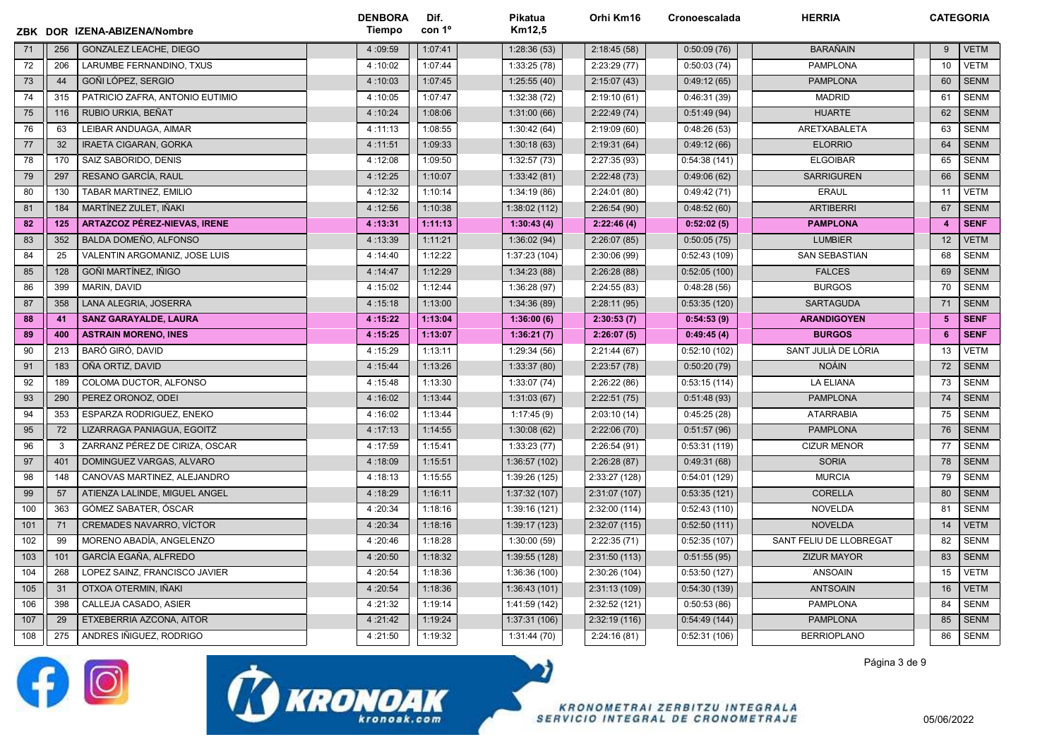|     |     | ZBK DOR IZENA-ABIZENA/Nombre        | <b>DENBORA</b><br>Tiempo | Dif.<br>con 1 <sup>o</sup> | Pikatua<br>Km12,5 | Orhi Km16     | Cronoescalada | <b>HERRIA</b>           | <b>CATEGORIA</b> |             |
|-----|-----|-------------------------------------|--------------------------|----------------------------|-------------------|---------------|---------------|-------------------------|------------------|-------------|
| 71  | 256 | GONZALEZ LEACHE, DIEGO              | 4:09:59                  | 1:07:41                    | 1:28:36(53)       | 2:18:45(58)   | 0:50:09(76)   | <b>BARAÑAIN</b>         | 9                | <b>VETM</b> |
| 72  | 206 | LARUMBE FERNANDINO, TXUS            | 4:10:02                  | 1:07:44                    | 1:33:25(78)       | 2:23:29(77)   | 0:50:03(74)   | PAMPLONA                | 10               | <b>VETM</b> |
| 73  | 44  | GOÑI LÓPEZ, SERGIO                  | 4:10:03                  | 1:07:45                    | 1:25:55(40)       | 2:15:07(43)   | 0:49:12(65)   | <b>PAMPLONA</b>         | 60               | <b>SENM</b> |
| 74  | 315 | PATRICIO ZAFRA. ANTONIO EUTIMIO     | 4:10:05                  | 1:07:47                    | 1:32:38(72)       | 2:19:10(61)   | 0:46:31(39)   | <b>MADRID</b>           | 61               | <b>SENM</b> |
| 75  | 116 | RUBIO URKIA, BEÑAT                  | 4:10:24                  | 1:08:06                    | 1:31:00(66)       | 2:22:49(74)   | 0:51:49(94)   | <b>HUARTE</b>           | 62               | <b>SENM</b> |
| 76  | 63  | LEIBAR ANDUAGA, AIMAR               | 4:11:13                  | 1:08:55                    | 1:30:42(64)       | 2:19:09(60)   | 0:48:26(53)   | ARETXABALETA            | 63               | <b>SENM</b> |
| 77  | 32  | <b>IRAETA CIGARAN, GORKA</b>        | 4:11:51                  | 1:09:33                    | 1:30:18(63)       | 2:19:31(64)   | 0:49:12(66)   | <b>ELORRIO</b>          | 64               | <b>SENM</b> |
| 78  | 170 | SAIZ SABORIDO, DENIS                | 4:12:08                  | 1:09:50                    | 1:32:57(73)       | 2:27:35 (93)  | 0:54:38(141)  | <b>ELGOIBAR</b>         | 65               | <b>SENM</b> |
| 79  | 297 | RESANO GARCÍA, RAUL                 | 4:12:25                  | 1:10:07                    | 1:33:42(81)       | 2:22:48(73)   | 0:49:06(62)   | <b>SARRIGUREN</b>       | 66               | <b>SENM</b> |
| 80  | 130 | TABAR MARTINEZ, EMILIO              | 4:12:32                  | 1:10:14                    | 1:34:19(86)       | 2:24:01 (80)  | 0:49:42(71)   | <b>ERAUL</b>            | 11               | <b>VETM</b> |
| 81  | 184 | MARTÍNEZ ZULET, IÑAKI               | 4:12:56                  | 1:10:38                    | 1:38:02 (112)     | 2:26:54(90)   | 0:48:52(60)   | <b>ARTIBERRI</b>        | 67               | <b>SENM</b> |
| 82  | 125 | <b>ARTAZCOZ PÉREZ-NIEVAS, IRENE</b> | 4:13:31                  | 1:11:13                    | 1:30:43(4)        | 2:22:46(4)    | 0:52:02(5)    | <b>PAMPLONA</b>         | $\overline{4}$   | <b>SENF</b> |
| 83  | 352 | BALDA DOMEÑO, ALFONSO               | 4:13:39                  | 1:11:21                    | 1:36:02(94)       | 2:26:07(85)   | 0:50:05(75)   | <b>LUMBIER</b>          | 12               | <b>VETM</b> |
| 84  | 25  | VALENTIN ARGOMANIZ, JOSE LUIS       | 4:14:40                  | 1:12:22                    | 1:37:23 (104)     | 2:30:06 (99)  | 0:52:43(109)  | <b>SAN SEBASTIAN</b>    | 68               | <b>SENM</b> |
| 85  | 128 | GOÑI MARTÍNEZ, IÑIGO                | 4:14:47                  | 1:12:29                    | 1:34:23(88)       | 2:26:28(88)   | 0:52:05(100)  | <b>FALCES</b>           | 69               | <b>SENM</b> |
| 86  | 399 | MARIN, DAVID                        | 4:15:02                  | 1:12:44                    | 1:36:28(97)       | 2:24:55(83)   | 0:48:28(56)   | <b>BURGOS</b>           | 70               | <b>SENM</b> |
| 87  | 358 | <b>LANA ALEGRIA, JOSERRA</b>        | 4:15:18                  | 1:13:00                    | 1:34:36(89)       | 2:28:11(95)   | 0:53:35(120)  | <b>SARTAGUDA</b>        | 71               | <b>SENM</b> |
| 88  | 41  | <b>SANZ GARAYALDE, LAURA</b>        | 4:15:22                  | 1:13:04                    | 1:36:00(6)        | 2:30:53(7)    | 0:54:53(9)    | <b>ARANDIGOYEN</b>      | 5                | <b>SENF</b> |
| 89  | 400 | <b>ASTRAIN MORENO, INES</b>         | 4:15:25                  | 1:13:07                    | 1:36:21(7)        | 2:26:07(5)    | 0:49:45(4)    | <b>BURGOS</b>           | 6                | <b>SENF</b> |
| 90  | 213 | <b>BARÓ GIRÓ, DAVID</b>             | 4:15:29                  | 1:13:11                    | 1:29:34(56)       | 2:21:44(67)   | 0:52:10(102)  | SANT JULIÀ DE LÒRIA     | 13               | <b>VETM</b> |
| 91  | 183 | OÑA ORTIZ, DAVID                    | 4:15:44                  | 1:13:26                    | 1:33:37(80)       | 2:23:57(78)   | 0:50:20(79)   | <b>NOÁIN</b>            | 72               | <b>SENM</b> |
| 92  | 189 | COLOMA DUCTOR, ALFONSO              | 4:15:48                  | 1:13:30                    | 1:33:07(74)       | 2:26:22(86)   | 0:53:15(114)  | <b>LA ELIANA</b>        | 73               | <b>SENM</b> |
| 93  | 290 | PEREZ ORONOZ, ODEI                  | 4:16:02                  | 1:13:44                    | 1:31:03(67)       | 2:22:51(75)   | 0:51:48(93)   | <b>PAMPLONA</b>         | 74               | <b>SENM</b> |
| 94  | 353 | ESPARZA RODRIGUEZ, ENEKO            | 4:16:02                  | 1:13:44                    | 1:17:45(9)        | 2:03:10(14)   | 0:45:25(28)   | <b>ATARRABIA</b>        | 75               | <b>SENM</b> |
| 95  | 72  | LIZARRAGA PANIAGUA, EGOITZ          | 4:17:13                  | 1:14:55                    | 1:30:08(62)       | 2:22:06(70)   | 0:51:57(96)   | <b>PAMPLONA</b>         | 76               | <b>SENM</b> |
| 96  | 3   | ZARRANZ PÉREZ DE CIRIZA, OSCAR      | 4:17:59                  | 1:15:41                    | 1:33:23(77)       | 2:26:54(91)   | 0:53:31(119)  | <b>CIZUR MENOR</b>      | 77               | <b>SENM</b> |
| 97  | 401 | DOMINGUEZ VARGAS, ALVARO            | 4:18:09                  | 1:15:51                    | 1:36:57 (102)     | 2:26:28(87)   | 0:49:31(68)   | <b>SORIA</b>            | 78               | <b>SENM</b> |
| 98  | 148 | CANOVAS MARTINEZ, ALEJANDRO         | 4:18:13                  | 1:15:55                    | 1:39:26 (125)     | 2:33:27 (128) | 0:54:01(129)  | <b>MURCIA</b>           | 79               | <b>SENM</b> |
| 99  | 57  | ATIENZA LALINDE, MIGUEL ANGEL       | 4:18:29                  | 1:16:11                    | 1:37:32(107)      | 2:31:07 (107) | 0:53:35(121)  | <b>CORELLA</b>          | 80               | <b>SENM</b> |
| 100 | 363 | GÓMEZ SABATER, ÓSCAR                | 4:20:34                  | 1:18:16                    | 1:39:16 (121)     | 2:32:00 (114) | 0:52:43(110)  | NOVELDA                 | 81               | <b>SENM</b> |
| 101 | 71  | CREMADES NAVARRO, VÍCTOR            | 4:20:34                  | 1:18:16                    | 1:39:17 (123)     | 2:32:07(115)  | 0:52:50(111)  | <b>NOVELDA</b>          | 14               | <b>VETM</b> |
| 102 | 99  | MORENO ABADÍA. ANGELENZO            | 4:20:46                  | 1:18:28                    | 1:30:00(59)       | 2:22:35(71)   | 0:52:35(107)  | SANT FELIU DE LLOBREGAT | 82               | <b>SENM</b> |
| 103 | 101 | GARCÍA EGAÑA, ALFREDO               | 4:20:50                  | 1:18:32                    | 1:39:55 (128)     | 2:31:50(113)  | 0:51:55(95)   | <b>ZIZUR MAYOR</b>      | 83               | <b>SENM</b> |
| 104 | 268 | LOPEZ SAINZ. FRANCISCO JAVIER       | 4:20:54                  | 1:18:36                    | 1:36:36 (100)     | 2:30:26 (104) | 0:53:50(127)  | <b>ANSOAIN</b>          | 15               | <b>VETM</b> |
| 105 | 31  | OTXOA OTERMIN, IÑAKI                | 4:20:54                  | 1:18:36                    | 1:36:43(101)      | 2:31:13 (109) | 0:54:30 (139) | <b>ANTSOAIN</b>         | 16               | <b>VETM</b> |
| 106 | 398 | CALLEJA CASADO, ASIER               | 4:21:32                  | 1:19:14                    | 1:41:59 (142)     | 2:32:52 (121) | 0:50:53(86)   | <b>PAMPLONA</b>         | 84               | <b>SENM</b> |
| 107 | 29  | ETXEBERRIA AZCONA, AITOR            | 4:21:42                  | 1:19:24                    | 1:37:31 (106)     | 2:32:19(116)  | 0:54:49(144)  | <b>PAMPLONA</b>         | 85               | <b>SENM</b> |
| 108 | 275 | ANDRES IÑIGUEZ, RODRIGO             | 4:21:50                  | 1:19:32                    | 1:31:44(70)       | 2:24:16(81)   | 0:52:31(106)  | <b>BERRIOPLANO</b>      | 86               | <b>SENM</b> |





**KRONOMETRAI ZERBITZU INTEGRALA** SERVICIO INTEGRAL DE CRONOMETRAJE Página 3 de 9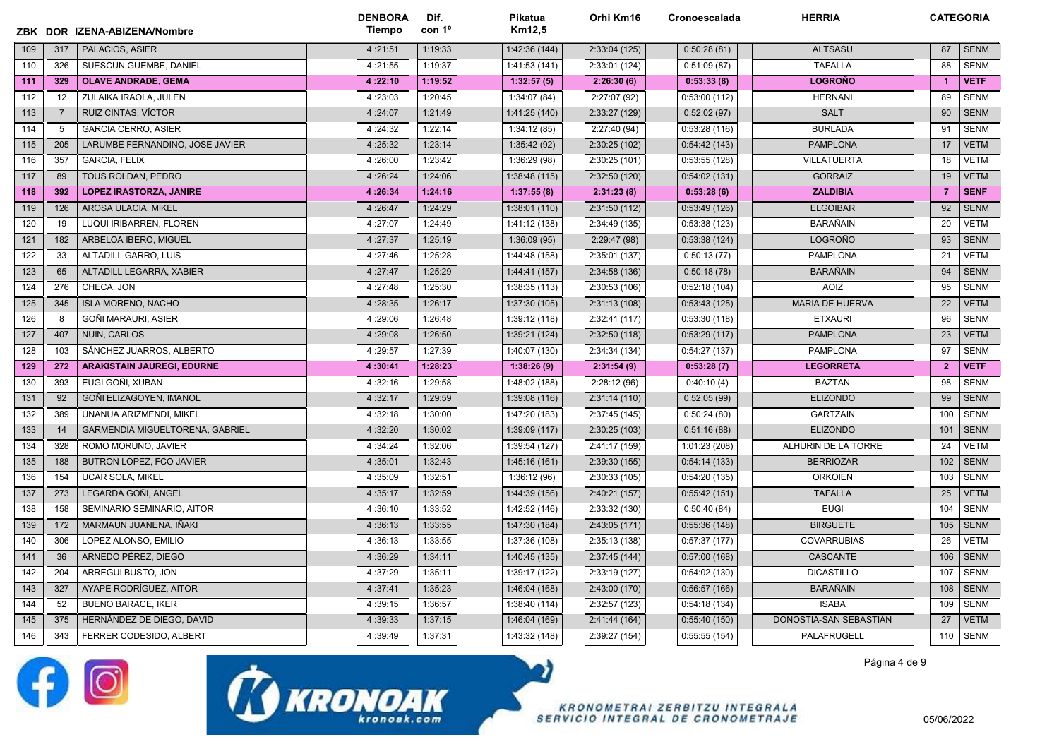|     |                | ZBK DOR IZENA-ABIZENA/Nombre      | <b>DENBORA</b><br>Tiempo | Dif.<br>con 1 <sup>o</sup> | Pikatua<br>Km12.5 | Orhi Km16     | Cronoescalada | <b>HERRIA</b>          | <b>CATEGORIA</b> |             |
|-----|----------------|-----------------------------------|--------------------------|----------------------------|-------------------|---------------|---------------|------------------------|------------------|-------------|
| 109 | 317            | PALACIOS, ASIER                   | 4:21:51                  | 1:19:33                    | 1:42:36 (144)     | 2:33:04(125)  | 0:50:28(81)   | <b>ALTSASU</b>         | 87               | <b>SENM</b> |
| 110 | 326            | SUESCUN GUEMBE, DANIEL            | 4:21:55                  | 1:19:37                    | 1:41:53 (141)     | 2:33:01 (124) | 0:51:09(87)   | <b>TAFALLA</b>         | 88               | <b>SENM</b> |
| 111 | 329            | <b>OLAVE ANDRADE, GEMA</b>        | 4:22:10                  | 1:19:52                    | 1:32:57(5)        | 2:26:30(6)    | 0:53:33(8)    | <b>LOGROÑO</b>         | $\overline{1}$   | <b>VETF</b> |
| 112 | 12             | ZULAIKA IRAOLA, JULEN             | 4:23:03                  | 1:20:45                    | 1:34:07 (84)      | 2:27:07 (92)  | 0:53:00(112)  | <b>HERNANI</b>         | 89               | <b>SENM</b> |
| 113 | $\overline{7}$ | RUIZ CINTAS, VÍCTOR               | 4:24:07                  | 1:21:49                    | 1:41:25 (140)     | 2:33:27 (129) | 0:52:02(97)   | <b>SALT</b>            | 90               | <b>SENM</b> |
| 114 | 5              | <b>GARCIA CERRO, ASIER</b>        | 4:24:32                  | 1:22:14                    | 1:34:12(85)       | 2:27:40 (94)  | 0:53:28(116)  | <b>BURLADA</b>         | 91               | <b>SENM</b> |
| 115 | 205            | LARUMBE FERNANDINO, JOSE JAVIER   | 4:25:32                  | 1:23:14                    | 1:35:42(92)       | 2:30:25 (102) | 0:54:42(143)  | <b>PAMPLONA</b>        | 17               | <b>VETM</b> |
| 116 | 357            | <b>GARCIA, FELIX</b>              | 4:26:00                  | 1:23:42                    | 1:36:29(98)       | 2:30:25(101)  | 0:53:55(128)  | <b>VILLATUERTA</b>     | 18               | <b>VETM</b> |
| 117 | 89             | TOUS ROLDAN, PEDRO                | 4:26:24                  | 1:24:06                    | 1:38:48 (115)     | 2:32:50 (120) | 0:54:02(131)  | <b>GORRAIZ</b>         | 19               | <b>VETM</b> |
| 118 | 392            | <b>LOPEZ IRASTORZA, JANIRE</b>    | 4:26:34                  | 1:24:16                    | 1:37:55(8)        | 2:31:23(8)    | 0:53:28(6)    | <b>ZALDIBIA</b>        | $\overline{7}$   | <b>SENF</b> |
| 119 | 126            | <b>AROSA ULACIA, MIKEL</b>        | 4:26:47                  | 1:24:29                    | 1:38:01(110)      | 2:31:50(112)  | 0:53:49(126)  | <b>ELGOIBAR</b>        | 92               | <b>SENM</b> |
| 120 | 19             | LUQUI IRIBARREN, FLOREN           | 4:27:07                  | 1:24:49                    | 1:41:12 (138)     | 2:34:49 (135) | 0:53:38(123)  | <b>BARAÑAIN</b>        | 20               | <b>VETM</b> |
| 121 | 182            | ARBELOA IBERO, MIGUEL             | 4:27:37                  | 1:25:19                    | 1:36:09(95)       | 2:29:47 (98)  | 0:53:38(124)  | <b>LOGROÑO</b>         | 93               | <b>SENM</b> |
| 122 | 33             | ALTADILL GARRO, LUIS              | 4:27:46                  | 1:25:28                    | 1:44:48 (158)     | 2:35:01 (137) | 0:50:13(77)   | <b>PAMPLONA</b>        | 21               | <b>VETM</b> |
| 123 | 65             | ALTADILL LEGARRA, XABIER          | 4:27:47                  | 1:25:29                    | 1:44:41 (157)     | 2:34:58(136)  | 0:50:18(78)   | <b>BARAÑAIN</b>        | 94               | <b>SENM</b> |
| 124 | 276            | CHECA, JON                        | 4:27:48                  | 1:25:30                    | 1:38:35 (113)     | 2:30:53(106)  | 0:52:18(104)  | <b>AOIZ</b>            | 95               | <b>SENM</b> |
| 125 | 345            | <b>ISLA MORENO, NACHO</b>         | 4:28:35                  | 1:26:17                    | 1:37:30 (105)     | 2:31:13(108)  | 0:53:43(125)  | <b>MARIA DE HUERVA</b> | 22               | <b>VETM</b> |
| 126 | 8              | GOÑI MARAURI, ASIER               | 4:29:06                  | 1:26:48                    | 1:39:12 (118)     | 2:32:41 (117) | 0:53:30(118)  | <b>ETXAURI</b>         | 96               | <b>SENM</b> |
| 127 | 407            | <b>NUIN, CARLOS</b>               | 4:29:08                  | 1:26:50                    | 1:39:21 (124)     | 2:32:50(118)  | 0:53:29(117)  | <b>PAMPLONA</b>        | 23               | <b>VETM</b> |
| 128 | 103            | SÁNCHEZ JUARROS, ALBERTO          | 4:29:57                  | 1:27:39                    | 1:40:07 (130)     | 2:34:34 (134) | 0:54:27(137)  | <b>PAMPLONA</b>        | 97               | <b>SENM</b> |
| 129 | 272            | <b>ARAKISTAIN JAUREGI, EDURNE</b> | 4:30:41                  | 1:28:23                    | 1:38:26(9)        | 2:31:54(9)    | 0:53:28(7)    | <b>LEGORRETA</b>       | $\overline{2}$   | <b>VETF</b> |
| 130 | 393            | EUGI GOÑI, XUBAN                  | 4:32:16                  | 1:29:58                    | 1:48:02 (188)     | 2:28:12(96)   | 0:40:10(4)    | <b>BAZTAN</b>          | 98               | <b>SENM</b> |
| 131 | 92             | GOÑI ELIZAGOYEN, IMANOL           | 4:32:17                  | 1:29:59                    | 1:39:08(116)      | 2:31:14(110)  | 0:52:05(99)   | <b>ELIZONDO</b>        | 99               | <b>SENM</b> |
| 132 | 389            | UNANUA ARIZMENDI, MIKEL           | 4:32:18                  | 1:30:00                    | 1:47:20 (183)     | 2:37:45 (145) | 0:50:24(80)   | <b>GARTZAIN</b>        | 100              | <b>SENM</b> |
| 133 | 14             | GARMENDIA MIGUELTORENA, GABRIEL   | 4:32:20                  | 1:30:02                    | 1:39:09(117)      | 2:30:25 (103) | 0:51:16(88)   | <b>ELIZONDO</b>        | 101              | <b>SENM</b> |
| 134 | 328            | ROMO MORUNO, JAVIER               | 4:34:24                  | 1:32:06                    | 1:39:54 (127)     | 2:41:17 (159) | 1:01:23 (208) | ALHURIN DE LA TORRE    | 24               | VETM        |
| 135 | 188            | BUTRON LOPEZ, FCO JAVIER          | 4:35:01                  | 1:32:43                    | 1:45:16 (161)     | 2:39:30 (155) | 0:54:14(133)  | <b>BERRIOZAR</b>       | 102              | <b>SENM</b> |
| 136 | 154            | <b>UCAR SOLA, MIKEL</b>           | 4:35:09                  | 1:32:51                    | 1:36:12(96)       | 2:30:33 (105) | 0:54:20(135)  | <b>ORKOIEN</b>         | 103              | <b>SENM</b> |
| 137 | 273            | LEGARDA GOÑI, ANGEL               | 4:35:17                  | 1:32:59                    | 1:44:39 (156)     | 2:40:21 (157) | 0:55:42(151)  | <b>TAFALLA</b>         | 25               | <b>VETM</b> |
| 138 | 158            | SEMINARIO SEMINARIO, AITOR        | 4:36:10                  | 1:33:52                    | 1:42:52 (146)     | 2:33:32 (130) | 0:50:40(84)   | <b>EUGI</b>            | 104              | <b>SENM</b> |
| 139 | 172            | MARMAUN JUANENA, IÑAKI            | 4:36:13                  | 1:33:55                    | 1:47:30 (184)     | 2:43:05 (171) | 0:55:36(148)  | <b>BIRGUETE</b>        | 105              | <b>SENM</b> |
| 140 | 306            | LOPEZ ALONSO. EMILIO              | 4:36:13                  | 1:33:55                    | 1:37:36 (108)     | 2:35:13 (138) | 0:57:37(177)  | <b>COVARRUBIAS</b>     | 26               | <b>VETM</b> |
| 141 | 36             | ARNEDO PÉREZ, DIEGO               | 4:36:29                  | 1:34:11                    | 1:40:45 (135)     | 2:37:45 (144) | 0:57:00(168)  | <b>CASCANTE</b>        | 106              | <b>SENM</b> |
| 142 | 204            | ARREGUI BUSTO, JON                | 4:37:29                  | 1:35:11                    | 1:39:17 (122)     | 2:33:19 (127) | 0:54:02(130)  | <b>DICASTILLO</b>      | 107              | <b>SENM</b> |
| 143 | 327            | AYAPE RODRÍGUEZ, AITOR            | 4:37:41                  | 1:35:23                    | 1:46:04 (168)     | 2:43:00 (170) | 0:56:57(166)  | <b>BARAÑAIN</b>        | 108              | <b>SENM</b> |
| 144 | 52             | <b>BUENO BARACE, IKER</b>         | 4:39:15                  | 1:36:57                    | 1:38:40 (114)     | 2:32:57 (123) | 0:54:18(134)  | <b>ISABA</b>           | 109              | <b>SENM</b> |
| 145 | 375            | HERNÁNDEZ DE DIEGO, DAVID         | 4:39:33                  | 1:37:15                    | 1:46:04 (169)     | 2:41:44(164)  | 0:55:40(150)  | DONOSTIA-SAN SEBASTIÁN | 27               | <b>VETM</b> |
| 146 | 343            | FERRER CODESIDO, ALBERT           | 4:39:49                  | 1:37:31                    | 1:43:32 (148)     | 2:39:27 (154) | 0:55:55(154)  | PALAFRUGELL            | 110              | <b>SENM</b> |

לכ





**KRONOMETRAI ZERBITZU INTEGRALA** SERVICIO INTEGRAL DE CRONOMETRAJE Página 4 de 9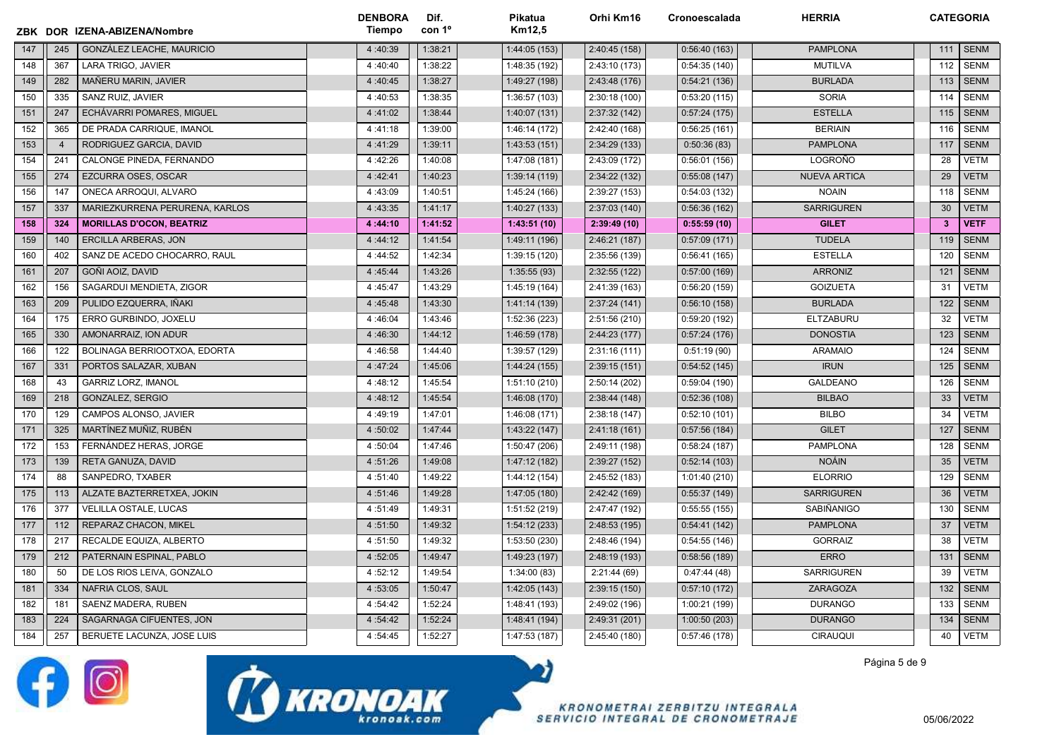|     |                | ZBK DOR IZENA-ABIZENA/Nombre    | <b>DENBORA</b><br>Tiempo | Dif.<br>con 1º | Pikatua<br>Km12,5 | Orhi Km16     | Cronoescalada | <b>HERRIA</b>       | <b>CATEGORIA</b>        |             |
|-----|----------------|---------------------------------|--------------------------|----------------|-------------------|---------------|---------------|---------------------|-------------------------|-------------|
| 147 | 245            | GONZÁLEZ LEACHE, MAURICIO       | 4:40:39                  | 1:38:21        | 1:44:05(153)      | 2:40:45 (158) | 0:56:40(163)  | <b>PAMPLONA</b>     | 111                     | <b>SENM</b> |
| 148 | 367            | LARA TRIGO, JAVIER              | 4:40:40                  | 1:38:22        | 1:48:35 (192)     | 2:43:10 (173) | 0:54:35(140)  | <b>MUTILVA</b>      | 112                     | <b>SENM</b> |
| 149 | 282            | MAÑERU MARIN, JAVIER            | 4:40:45                  | 1:38:27        | 1:49:27 (198)     | 2:43:48 (176) | 0:54:21(136)  | <b>BURLADA</b>      | 113                     | <b>SENM</b> |
| 150 | 335            | SANZ RUIZ, JAVIER               | 4:40:53                  | 1:38:35        | 1:36:57 (103)     | 2:30:18 (100) | 0:53:20(115)  | <b>SORIA</b>        | 114                     | SENM        |
| 151 | 247            | ECHÁVARRI POMARES, MIGUEL       | 4:41:02                  | 1:38:44        | 1:40:07(131)      | 2:37:32 (142) | 0:57:24(175)  | <b>ESTELLA</b>      | 115                     | <b>SENM</b> |
| 152 | 365            | DE PRADA CARRIQUE, IMANOL       | 4:41:18                  | 1:39:00        | 1:46:14 (172)     | 2:42:40 (168) | 0:56:25(161)  | <b>BERIAIN</b>      | 116                     | <b>SENM</b> |
| 153 | $\overline{4}$ | RODRIGUEZ GARCIA, DAVID         | 4:41:29                  | 1:39:11        | 1:43:53(151)      | 2:34:29 (133) | 0:50:36(83)   | <b>PAMPLONA</b>     | 117                     | <b>SENM</b> |
| 154 | 241            | CALONGE PINEDA. FERNANDO        | 4:42:26                  | 1:40:08        | 1:47:08 (181)     | 2:43:09 (172) | 0:56:01(156)  | LOGROÑO             | 28                      | <b>VETM</b> |
| 155 | 274            | EZCURRA OSES, OSCAR             | 4:42:41                  | 1:40:23        | 1:39:14 (119)     | 2:34:22 (132) | 0:55:08(147)  | <b>NUEVA ARTICA</b> | 29                      | <b>VETM</b> |
| 156 | 147            | ONECA ARROQUI, ALVARO           | 4:43:09                  | 1:40:51        | 1:45:24 (166)     | 2:39:27 (153) | 0:54:03(132)  | <b>NOAIN</b>        | 118                     | <b>SENM</b> |
| 157 | 337            | MARIEZKURRENA PERURENA, KARLOS  | 4:43:35                  | 1:41:17        | 1:40:27 (133)     | 2:37:03 (140) | 0:56:36(162)  | <b>SARRIGUREN</b>   | 30                      | <b>VETM</b> |
| 158 | 324            | <b>MORILLAS D'OCON, BEATRIZ</b> | 4:44:10                  | 1:41:52        | 1:43:51(10)       | 2:39:49(10)   | 0:55:59(10)   | <b>GILET</b>        | $\overline{\mathbf{3}}$ | <b>VETF</b> |
| 159 | 140            | <b>ERCILLA ARBERAS, JON</b>     | 4:44:12                  | 1:41:54        | 1:49:11 (196)     | 2:46:21 (187) | 0:57:09(171)  | <b>TUDELA</b>       | 119                     | <b>SENM</b> |
| 160 | 402            | SANZ DE ACEDO CHOCARRO, RAUL    | 4:44:52                  | 1:42:34        | 1:39:15 (120)     | 2:35:56 (139) | 0:56:41(165)  | <b>ESTELLA</b>      | 120                     | <b>SENM</b> |
| 161 | 207            | GOÑI AOIZ, DAVID                | 4:45:44                  | 1:43:26        | 1:35:55(93)       | 2:32:55 (122) | 0:57:00(169)  | <b>ARRONIZ</b>      | 121                     | <b>SENM</b> |
| 162 | 156            | SAGARDUI MENDIETA, ZIGOR        | 4:45:47                  | 1:43:29        | 1:45:19 (164)     | 2:41:39 (163) | 0:56:20(159)  | <b>GOIZUETA</b>     | 31                      | <b>VETM</b> |
| 163 | 209            | PULIDO EZQUERRA, IÑAKI          | 4:45:48                  | 1:43:30        | 1:41:14(139)      | 2:37:24 (141) | 0:56:10(158)  | <b>BURLADA</b>      | 122                     | <b>SENM</b> |
| 164 | 175            | ERRO GURBINDO, JOXELU           | 4:46:04                  | 1:43:46        | 1:52:36 (223)     | 2:51:56 (210) | 0:59:20(192)  | <b>ELTZABURU</b>    | 32                      | <b>VETM</b> |
| 165 | 330            | AMONARRAIZ, ION ADUR            | 4:46:30                  | 1:44:12        | 1:46:59 (178)     | 2:44:23(177)  | 0:57:24(176)  | <b>DONOSTIA</b>     | 123                     | <b>SENM</b> |
| 166 | 122            | BOLINAGA BERRIOOTXOA, EDORTA    | 4:46:58                  | 1:44:40        | 1:39:57 (129)     | 2:31:16(111)  | 0:51:19(90)   | <b>ARAMAIO</b>      | 124                     | <b>SENM</b> |
| 167 | 331            | PORTOS SALAZAR, XUBAN           | 4:47:24                  | 1:45:06        | 1:44:24 (155)     | 2:39:15(151)  | 0:54:52(145)  | <b>IRUN</b>         | 125                     | <b>SENM</b> |
| 168 | 43             | <b>GARRIZ LORZ, IMANOL</b>      | 4:48:12                  | 1:45:54        | 1:51:10 (210)     | 2:50:14 (202) | 0:59:04(190)  | <b>GALDEANO</b>     | 126                     | <b>SENM</b> |
| 169 | 218            | GONZALEZ, SERGIO                | 4:48:12                  | 1:45:54        | 1:46:08(170)      | 2:38:44 (148) | 0:52:36(108)  | <b>BILBAO</b>       | 33                      | <b>VETM</b> |
| 170 | 129            | CAMPOS ALONSO, JAVIER           | 4:49:19                  | 1:47:01        | 1:46:08(171)      | 2:38:18 (147) | 0:52:10(101)  | <b>BILBO</b>        | 34                      | <b>VETM</b> |
| 171 | 325            | MARTÍNEZ MUÑIZ, RUBÉN           | 4:50:02                  | 1:47:44        | 1:43:22 (147)     | 2:41:18(161)  | 0:57:56(184)  | <b>GILET</b>        | 127                     | <b>SENM</b> |
| 172 | 153            | FERNÁNDEZ HERAS, JORGE          | 4:50:04                  | 1:47:46        | 1:50:47 (206)     | 2:49:11 (198) | 0:58:24(187)  | <b>PAMPLONA</b>     | 128                     | <b>SENM</b> |
| 173 | 139            | RETA GANUZA, DAVID              | 4:51:26                  | 1:49:08        | 1:47:12 (182)     | 2:39:27 (152) | 0:52:14(103)  | <b>NOÁIN</b>        | 35                      | <b>VETM</b> |
| 174 | 88             | SANPEDRO, TXABER                | 4:51:40                  | 1:49:22        | 1:44:12 (154)     | 2:45:52 (183) | 1:01:40 (210) | <b>ELORRIO</b>      | 129                     | <b>SENM</b> |
| 175 | 113            | ALZATE BAZTERRETXEA, JOKIN      | 4:51:46                  | 1:49:28        | 1:47:05 (180)     | 2:42:42 (169) | 0:55:37(149)  | <b>SARRIGUREN</b>   | 36                      | <b>VETM</b> |
| 176 | 377            | VELILLA OSTALE, LUCAS           | 4:51:49                  | 1:49:31        | 1:51:52 (219)     | 2:47:47 (192) | 0:55:55(155)  | SABIÑANIGO          | 130                     | <b>SENM</b> |
| 177 | 112            | REPARAZ CHACON, MIKEL           | 4:51:50                  | 1:49:32        | 1:54:12(233)      | 2:48:53 (195) | 0:54:41(142)  | <b>PAMPLONA</b>     | 37                      | <b>VETM</b> |
| 178 | 217            | RECALDE EQUIZA, ALBERTO         | 4:51:50                  | 1:49:32        | 1:53:50 (230)     | 2:48:46 (194) | 0:54:55(146)  | <b>GORRAIZ</b>      | 38                      | <b>VETM</b> |
| 179 | 212            | PATERNAIN ESPINAL, PABLO        | 4:52:05                  | 1:49:47        | 1:49:23 (197)     | 2:48:19 (193) | 0:58:56(189)  | <b>ERRO</b>         | 131                     | <b>SENM</b> |
| 180 | 50             | DE LOS RIOS LEIVA, GONZALO      | 4:52:12                  | 1:49:54        | 1:34:00(83)       | 2:21:44(69)   | 0:47:44(48)   | <b>SARRIGUREN</b>   | 39                      | <b>VETM</b> |
| 181 | 334            | NAFRIA CLOS, SAUL               | 4:53:05                  | 1:50:47        | 1:42:05 (143)     | 2:39:15 (150) | 0:57:10(172)  | <b>ZARAGOZA</b>     | 132                     | <b>SENM</b> |
| 182 | 181            | SAENZ MADERA, RUBEN             | 4:54:42                  | 1:52:24        | 1:48:41 (193)     | 2:49:02 (196) | 1:00:21 (199) | <b>DURANGO</b>      | 133                     | <b>SENM</b> |
| 183 | 224            | SAGARNAGA CIFUENTES, JON        | 4:54:42                  | 1:52:24        | 1:48:41 (194)     | 2:49:31 (201) | 1:00:50 (203) | <b>DURANGO</b>      | 134                     | <b>SENM</b> |
| 184 | 257            | BERUETE LACUNZA, JOSE LUIS      | 4:54:45                  | 1:52:27        | 1:47:53(187)      | 2:45:40 (180) | 0:57:46(178)  | CIRAUQUI            | 40                      | <b>VETM</b> |





**KRONOMETRAI ZERBITZU INTEGRALA** SERVICIO INTEGRAL DE CRONOMETRAJE Página 5 de 9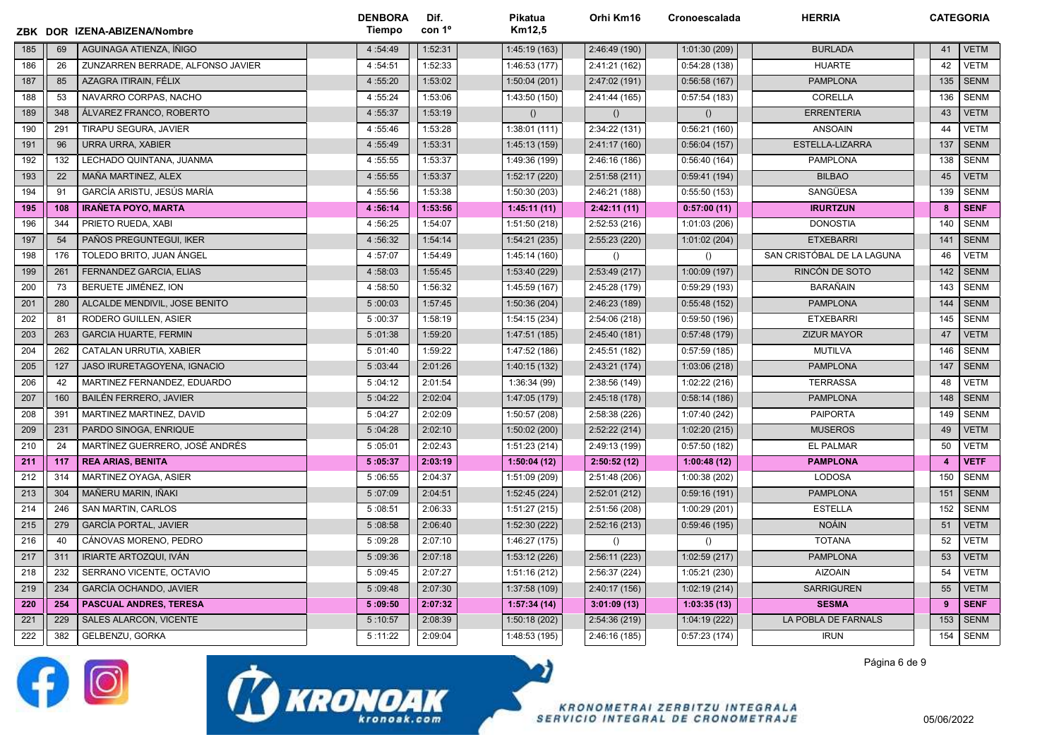|     |     | ZBK DOR IZENA-ABIZENA/Nombre      | <b>DENBORA</b><br>Tiempo | Dif.<br>con 1 <sup>o</sup> | Pikatua<br>Km12,5 | Orhi Km16        | Cronoescalada    | <b>HERRIA</b>              | <b>CATEGORIA</b> |             |
|-----|-----|-----------------------------------|--------------------------|----------------------------|-------------------|------------------|------------------|----------------------------|------------------|-------------|
| 185 | 69  | AGUINAGA ATIENZA, ÍÑIGO           | 4:54:49                  | 1:52:31                    | 1:45:19(163)      | 2:46:49 (190)    | 1:01:30 (209)    | <b>BURLADA</b>             | 41               | <b>VETM</b> |
| 186 | 26  | ZUNZARREN BERRADE, ALFONSO JAVIER | 4:54:51                  | 1:52:33                    | 1:46:53(177)      | 2:41:21 (162)    | 0:54:28(138)     | <b>HUARTE</b>              | 42               | <b>VETM</b> |
| 187 | 85  | AZAGRA ITIRAIN. FÉLIX             | 4:55:20                  | 1:53:02                    | 1:50:04(201)      | 2:47:02 (191)    | 0:56:58(167)     | <b>PAMPLONA</b>            | 135              | <b>SENM</b> |
| 188 | 53  | NAVARRO CORPAS, NACHO             | 4:55:24                  | 1:53:06                    | 1:43:50 (150)     | 2:41:44 (165)    | 0:57:54(183)     | CORELLA                    | 136              | <b>SENM</b> |
| 189 | 348 | ÁLVAREZ FRANCO, ROBERTO           | 4:55:37                  | 1:53:19                    | ()                | $\left( \right)$ | $\left( \right)$ | <b>ERRENTERIA</b>          | 43               | <b>VETM</b> |
| 190 | 291 | TIRAPU SEGURA, JAVIER             | 4:55:46                  | 1:53:28                    | 1:38:01(111)      | 2:34:22 (131)    | 0:56:21(160)     | <b>ANSOAIN</b>             | 44               | <b>VETM</b> |
| 191 | 96  | <b>URRA URRA, XABIER</b>          | 4:55:49                  | 1:53:31                    | 1:45:13 (159)     | 2:41:17 (160)    | 0:56:04(157)     | ESTELLA-LIZARRA            | 137              | <b>SENM</b> |
| 192 | 132 | LECHADO QUINTANA, JUANMA          | 4:55:55                  | 1:53:37                    | 1:49:36 (199)     | 2:46:16 (186)    | 0:56:40(164)     | <b>PAMPLONA</b>            | 138              | <b>SENM</b> |
| 193 | 22  | MAÑA MARTINEZ, ALEX               | 4:55:55                  | 1:53:37                    | 1:52:17 (220)     | 2:51:58(211)     | 0:59:41(194)     | <b>BILBAO</b>              | 45               | <b>VETM</b> |
| 194 | 91  | GARCÍA ARISTU, JESÚS MARÍA        | 4:55:56                  | 1:53:38                    | 1:50:30 (203)     | 2:46:21 (188)    | 0:55:50(153)     | SANGÜESA                   | 139              | <b>SENM</b> |
| 195 | 108 | <b>IRAÑETA POYO, MARTA</b>        | 4:56:14                  | 1:53:56                    | 1:45:11(11)       | 2:42:11(11)      | 0:57:00(11)      | <b>IRURTZUN</b>            | 8                | <b>SENF</b> |
| 196 | 344 | PRIETO RUEDA, XABI                | 4:56:25                  | 1:54:07                    | 1:51:50 (218)     | 2:52:53 (216)    | 1:01:03 (206)    | <b>DONOSTIA</b>            | 140              | <b>SENM</b> |
| 197 | 54  | PAÑOS PREGUNTEGUI, IKER           | 4:56:32                  | 1:54:14                    | 1:54:21(235)      | 2:55:23 (220)    | 1:01:02 (204)    | <b>ETXEBARRI</b>           | 141              | <b>SENM</b> |
| 198 | 176 | TOLEDO BRITO, JUAN ÁNGEL          | 4:57:07                  | 1:54:49                    | 1:45:14 (160)     | $\left( \right)$ | ()               | SAN CRISTÓBAL DE LA LAGUNA | 46               | <b>VETM</b> |
| 199 | 261 | FERNANDEZ GARCIA, ELIAS           | 4:58:03                  | 1:55:45                    | 1:53:40 (229)     | 2:53:49(217)     | 1:00:09 (197)    | RINCÓN DE SOTO             | 142              | <b>SENM</b> |
| 200 | 73  | BERUETE JIMÉNEZ, ION              | 4:58:50                  | 1:56:32                    | 1:45:59 (167)     | 2:45:28 (179)    | 0:59:29(193)     | <b>BARAÑAIN</b>            | 143              | <b>SENM</b> |
| 201 | 280 | ALCALDE MENDIVIL, JOSE BENITO     | 5:00:03                  | 1:57:45                    | 1:50:36 (204)     | 2:46:23 (189)    | 0:55:48(152)     | <b>PAMPLONA</b>            | 144              | <b>SENM</b> |
| 202 | 81  | RODERO GUILLEN, ASIER             | 5:00:37                  | 1:58:19                    | 1:54:15 (234)     | 2:54:06 (218)    | 0:59:50(196)     | <b>ETXEBARRI</b>           | 145              | <b>SENM</b> |
| 203 | 263 | <b>GARCIA HUARTE, FERMIN</b>      | 5:01:38                  | 1:59:20                    | 1:47:51 (185)     | 2:45:40 (181)    | 0:57:48(179)     | <b>ZIZUR MAYOR</b>         | 47               | <b>VETM</b> |
| 204 | 262 | CATALAN URRUTIA, XABIER           | 5:01:40                  | 1:59:22                    | 1:47:52 (186)     | 2:45:51 (182)    | 0:57:59(185)     | <b>MUTILVA</b>             | 146              | <b>SENM</b> |
| 205 | 127 | JASO IRURETAGOYENA, IGNACIO       | 5:03:44                  | 2:01:26                    | 1:40:15 (132)     | 2:43:21 (174)    | 1:03:06 (218)    | <b>PAMPLONA</b>            | 147              | <b>SENM</b> |
| 206 | 42  | MARTINEZ FERNANDEZ, EDUARDO       | 5:04:12                  | 2:01:54                    | 1:36:34 (99)      | 2:38:56 (149)    | 1:02:22 (216)    | <b>TERRASSA</b>            | 48               | <b>VETM</b> |
| 207 | 160 | <b>BAILÉN FERRERO, JAVIER</b>     | 5:04:22                  | 2:02:04                    | 1:47:05 (179)     | 2:45:18 (178)    | 0:58:14(186)     | <b>PAMPLONA</b>            | 148              | <b>SENM</b> |
| 208 | 391 | MARTINEZ MARTINEZ, DAVID          | 5:04:27                  | 2:02:09                    | 1:50:57(208)      | 2:58:38 (226)    | 1:07:40 (242)    | <b>PAIPORTA</b>            | 149              | <b>SENM</b> |
| 209 | 231 | PARDO SINOGA, ENRIQUE             | 5:04:28                  | 2:02:10                    | 1:50:02 (200)     | 2:52:22(214)     | 1:02:20(215)     | <b>MUSEROS</b>             | 49               | <b>VETM</b> |
| 210 | 24  | MARTÍNEZ GUERRERO, JOSÉ ANDRÉS    | 5:05:01                  | 2:02:43                    | 1:51:23(214)      | 2:49:13 (199)    | 0:57:50(182)     | <b>EL PALMAR</b>           | 50               | <b>VETM</b> |
| 211 | 117 | <b>REA ARIAS, BENITA</b>          | 5:05:37                  | 2:03:19                    | 1:50:04(12)       | 2:50:52(12)      | 1:00:48(12)      | <b>PAMPLONA</b>            | $\overline{4}$   | <b>VETF</b> |
| 212 | 314 | MARTINEZ OYAGA, ASIER             | 5:06:55                  | 2:04:37                    | 1:51:09 (209)     | 2:51:48 (206)    | 1:00:38 (202)    | <b>LODOSA</b>              | 150              | <b>SENM</b> |
| 213 | 304 | MAÑERU MARIN, IÑAKI               | 5:07:09                  | 2:04:51                    | 1:52:45(224)      | 2:52:01(212)     | 0:59:16(191)     | <b>PAMPLONA</b>            | 151              | <b>SENM</b> |
| 214 | 246 | SAN MARTIN, CARLOS                | 5:08:51                  | 2:06:33                    | 1:51:27 (215)     | 2:51:56 (208)    | 1:00:29 (201)    | <b>ESTELLA</b>             | 152              | <b>SENM</b> |
| 215 | 279 | <b>GARCÍA PORTAL, JAVIER</b>      | 5:08:58                  | 2:06:40                    | 1:52:30 (222)     | 2:52:16(213)     | 0:59:46(195)     | <b>NOÁIN</b>               | 51               | <b>VETM</b> |
| 216 | 40  | CÁNOVAS MORENO, PEDRO             | 5:09:28                  | 2:07:10                    | 1:46:27(175)      | $\left( \right)$ | ()               | <b>TOTANA</b>              | 52               | <b>VETM</b> |
| 217 | 311 | <b>IRIARTE ARTOZQUI, IVÁN</b>     | 5:09:36                  | 2:07:18                    | 1:53:12(226)      | 2:56:11(223)     | 1:02:59 (217)    | <b>PAMPLONA</b>            | 53               | <b>VETM</b> |
| 218 | 232 | SERRANO VICENTE, OCTAVIO          | 5:09:45                  | 2:07:27                    | 1:51:16 (212)     | 2:56:37 (224)    | 1:05:21 (230)    | <b>AIZOAIN</b>             | 54               | <b>VETM</b> |
| 219 | 234 | GARCÍA OCHANDO, JAVIER            | 5:09:48                  | 2:07:30                    | 1:37:58 (109)     | 2:40:17 (156)    | 1:02:19 (214)    | <b>SARRIGUREN</b>          | 55               | <b>VETM</b> |
| 220 | 254 | <b>PASCUAL ANDRES, TERESA</b>     | 5:09:50                  | 2:07:32                    | 1:57:34(14)       | 3:01:09(13)      | 1:03:35(13)      | <b>SESMA</b>               | 9                | <b>SENF</b> |
| 221 | 229 | SALES ALARCON, VICENTE            | 5:10:57                  | 2:08:39                    | 1:50:18 (202)     | 2:54:36 (219)    | 1:04:19 (222)    | LA POBLA DE FARNALS        | 153              | <b>SENM</b> |
| 222 | 382 | GELBENZU, GORKA                   | 5:11:22                  | 2:09:04                    | 1:48:53 (195)     | 2:46:16 (185)    | 0:57:23(174)     | <b>IRUN</b>                | 154              | <b>SENM</b> |





**KRONOMETRAI ZERBITZU INTEGRALA** SERVICIO INTEGRAL DE CRONOMETRAJE Página 6 de 9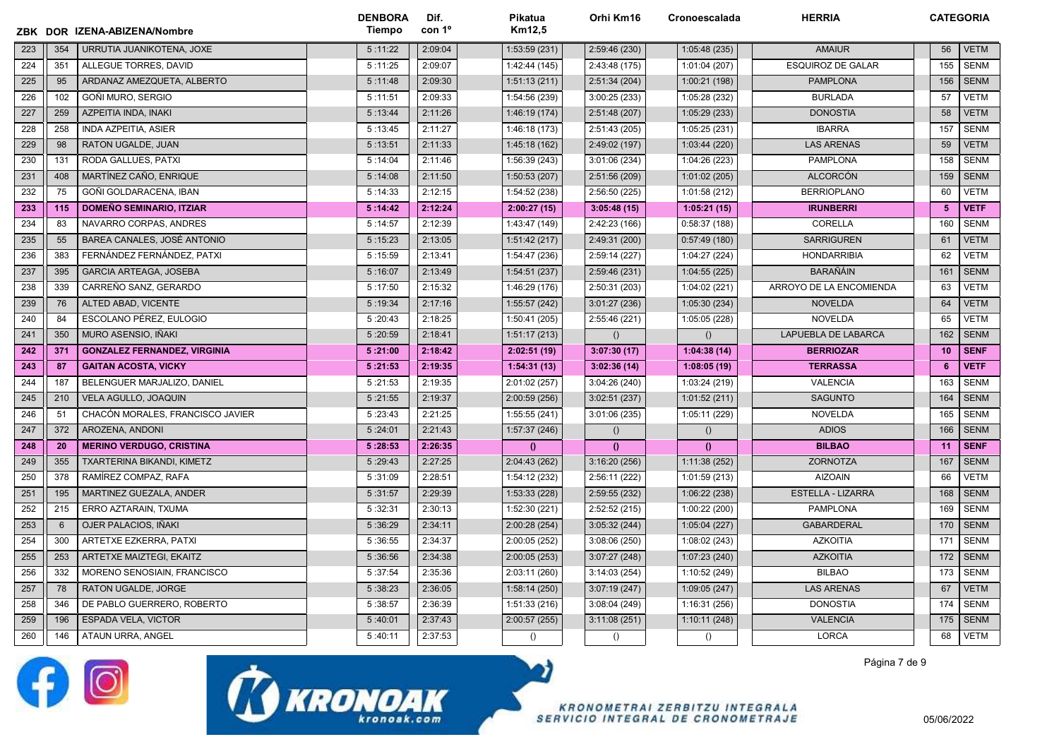|     |     | ZBK DOR IZENA-ABIZENA/Nombre        | <b>DENBORA</b><br><b>Tiempo</b> | Dif.<br>con 1º | Pikatua<br>Km12.5 | Orhi Km16        | Cronoescalada    | <b>HERRIA</b>            | <b>CATEGORIA</b> |             |
|-----|-----|-------------------------------------|---------------------------------|----------------|-------------------|------------------|------------------|--------------------------|------------------|-------------|
| 223 | 354 | URRUTIA JUANIKOTENA, JOXE           | 5:11:22                         | 2:09:04        | 1:53:59(231)      | 2:59:46 (230)    | 1:05:48(235)     | <b>AMAIUR</b>            | 56               | <b>VETM</b> |
| 224 | 351 | ALLEGUE TORRES, DAVID               | 5:11:25                         | 2:09:07        | 1:42:44 (145)     | 2:43:48 (175)    | 1:01:04 (207)    | <b>ESQUIROZ DE GALAR</b> | 155              | <b>SENM</b> |
| 225 | 95  | ARDANAZ AMEZQUETA, ALBERTO          | 5:11:48                         | 2:09:30        | 1:51:13(211)      | 2:51:34(204)     | 1:00:21(198)     | <b>PAMPLONA</b>          | 156              | <b>SENM</b> |
| 226 | 102 | <b>GOÑI MURO, SERGIO</b>            | 5:11:51                         | 2:09:33        | 1:54:56 (239)     | 3:00:25 (233)    | 1:05:28 (232)    | <b>BURLADA</b>           | 57               | <b>VETM</b> |
| 227 | 259 | AZPEITIA INDA, INAKI                | 5:13:44                         | 2:11:26        | 1:46:19(174)      | 2:51:48 (207)    | 1:05:29(233)     | <b>DONOSTIA</b>          | 58               | <b>VETM</b> |
| 228 | 258 | <b>INDA AZPEITIA, ASIER</b>         | 5:13:45                         | 2:11:27        | 1:46:18 (173)     | 2:51:43 (205)    | 1:05:25 (231)    | <b>IBARRA</b>            | 157              | <b>SENM</b> |
| 229 | 98  | RATON UGALDE, JUAN                  | 5:13:51                         | 2:11:33        | 1:45:18 (162)     | 2:49:02 (197)    | 1:03:44 (220)    | <b>LAS ARENAS</b>        | 59               | <b>VETM</b> |
| 230 | 131 | RODA GALLUES, PATXI                 | 5:14:04                         | 2:11:46        | 1:56:39 (243)     | 3:01:06(234)     | 1:04:26 (223)    | <b>PAMPLONA</b>          | 158              | <b>SENM</b> |
| 231 | 408 | MARTÍNEZ CAÑO, ENRIQUE              | 5:14:08                         | 2:11:50        | 1:50:53 (207)     | 2:51:56 (209)    | 1:01:02 (205)    | <b>ALCORCÓN</b>          | 159              | <b>SENM</b> |
| 232 | 75  | GOÑI GOLDARACENA, IBAN              | 5:14:33                         | 2:12:15        | 1:54:52 (238)     | 2:56:50 (225)    | 1:01:58 (212)    | <b>BERRIOPLANO</b>       | 60               | <b>VETM</b> |
| 233 | 115 | <b>DOMEÑO SEMINARIO, ITZIAR</b>     | 5:14:42                         | 2:12:24        | 2:00:27(15)       | 3:05:48(15)      | 1:05:21(15)      | <b>IRUNBERRI</b>         | 5                | <b>VETF</b> |
| 234 | 83  | NAVARRO CORPAS, ANDRES              | 5:14:57                         | 2:12:39        | 1:43:47 (149)     | 2:42:23 (166)    | 0:58:37(188)     | CORELLA                  | 160              | <b>SENM</b> |
| 235 | 55  | BAREA CANALES, JOSÉ ANTONIO         | 5:15:23                         | 2:13:05        | 1:51:42(217)      | 2:49:31 (200)    | 0:57:49(180)     | <b>SARRIGUREN</b>        | 61               | <b>VETM</b> |
| 236 | 383 | FERNÁNDEZ FERNÁNDEZ, PATXI          | 5:15:59                         | 2:13:41        | 1:54:47 (236)     | 2:59:14 (227)    | 1:04:27 (224)    | <b>HONDARRIBIA</b>       | 62               | <b>VETM</b> |
| 237 | 395 | <b>GARCIA ARTEAGA, JOSEBA</b>       | 5:16:07                         | 2:13:49        | 1:54:51 (237)     | 2:59:46 (231)    | 1:04:55(225)     | <b>BARAÑÁIN</b>          | 161              | <b>SENM</b> |
| 238 | 339 | CARREÑO SANZ, GERARDO               | 5:17:50                         | 2:15:32        | 1:46:29 (176)     | 2:50:31 (203)    | 1:04:02 (221)    | ARROYO DE LA ENCOMIENDA  | 63               | <b>VETM</b> |
| 239 | 76  | ALTED ABAD, VICENTE                 | 5:19:34                         | 2:17:16        | 1:55:57 (242)     | 3:01:27 (236)    | 1:05:30 (234)    | <b>NOVELDA</b>           | 64               | <b>VETM</b> |
| 240 | 84  | ESCOLANO PÉREZ, EULOGIO             | 5:20:43                         | 2:18:25        | 1:50:41 (205)     | 2:55:46 (221)    | 1:05:05 (228)    | NOVELDA                  | 65               | <b>VETM</b> |
| 241 | 350 | MURO ASENSIO, IÑAKI                 | 5:20:59                         | 2:18:41        | 1:51:17(213)      | ()               | $\left( \right)$ | LAPUEBLA DE LABARCA      | 162              | <b>SENM</b> |
| 242 | 371 | <b>GONZALEZ FERNANDEZ, VIRGINIA</b> | 5:21:00                         | 2:18:42        | 2:02:51(19)       | 3:07:30(17)      | 1:04:38(14)      | <b>BERRIOZAR</b>         | 10               | <b>SENF</b> |
| 243 | 87  | <b>GAITAN ACOSTA, VICKY</b>         | 5:21:53                         | 2:19:35        | 1:54:31(13)       | 3:02:36(14)      | 1:08:05(19)      | <b>TERRASSA</b>          | -6               | <b>VETF</b> |
| 244 | 187 | BELENGUER MARJALIZO, DANIEL         | 5:21:53                         | 2:19:35        | 2:01:02 (257)     | 3:04:26 (240)    | 1:03:24 (219)    | VALENCIA                 | 163              | <b>SENM</b> |
| 245 | 210 | VELA AGULLO, JOAQUIN                | 5:21:55                         | 2:19:37        | 2:00:59(256)      | 3:02:51(237)     | 1:01:52(211)     | <b>SAGUNTO</b>           | 164              | <b>SENM</b> |
| 246 | 51  | CHACÓN MORALES, FRANCISCO JAVIER    | 5:23:43                         | 2:21:25        | 1:55:55(241)      | 3:01:06 (235)    | 1:05:11 (229)    | <b>NOVELDA</b>           | 165              | <b>SENM</b> |
| 247 | 372 | AROZENA, ANDONI                     | 5:24:01                         | 2:21:43        | 1:57:37 (246)     | $\left( \right)$ | ()               | <b>ADIOS</b>             | 166              | <b>SENM</b> |
| 248 | 20  | <b>MERINO VERDUGO, CRISTINA</b>     | 5:28:53                         | 2:26:35        | $\theta$          | $\theta$         | $\theta$         | <b>BILBAO</b>            | 11               | <b>SENF</b> |
| 249 | 355 | TXARTERINA BIKANDI, KIMETZ          | 5:29:43                         | 2:27:25        | 2:04:43 (262)     | 3:16:20(256)     | 1:11:38 (252)    | ZORNOTZA                 | 167              | <b>SENM</b> |
| 250 | 378 | RAMÍREZ COMPAZ, RAFA                | 5:31:09                         | 2:28:51        | 1:54:12 (232)     | 2:56:11 (222)    | 1:01:59 (213)    | <b>AIZOAIN</b>           | 66               | <b>VETM</b> |
| 251 | 195 | MARTINEZ GUEZALA, ANDER             | 5:31:57                         | 2:29:39        | 1:53:33 (228)     | 2:59:55 (232)    | 1:06:22(238)     | <b>ESTELLA - LIZARRA</b> | 168              | <b>SENM</b> |
| 252 | 215 | ERRO AZTARAIN, TXUMA                | 5:32:31                         | 2:30:13        | 1:52:30 (221)     | 2:52:52 (215)    | 1:00:22 (200)    | PAMPLONA                 | 169              | <b>SENM</b> |
| 253 | 6   | OJER PALACIOS, IÑAKI                | 5:36:29                         | 2:34:11        | 2:00:28 (254)     | 3:05:32(244)     | 1:05:04(227)     | <b>GABARDERAL</b>        | 170              | <b>SENM</b> |
| 254 | 300 | ARTETXE EZKERRA, PATXI              | 5:36:55                         | 2:34:37        | 2:00:05 (252)     | 3:08:06 (250)    | 1:08:02 (243)    | <b>AZKOITIA</b>          | 171              | <b>SENM</b> |
| 255 | 253 | ARTETXE MAIZTEGI, EKAITZ            | 5:36:56                         | 2:34:38        | 2:00:05(253)      | 3:07:27(248)     | 1:07:23 (240)    | <b>AZKOITIA</b>          | 172              | <b>SENM</b> |
| 256 | 332 | MORENO SENOSIAIN, FRANCISCO         | 5:37:54                         | 2:35:36        | 2:03:11 (260)     | 3:14:03(254)     | 1:10:52 (249)    | <b>BILBAO</b>            | 173              | <b>SENM</b> |
| 257 | 78  | RATON UGALDE, JORGE                 | 5:38:23                         | 2:36:05        | 1:58:14(250)      | 3:07:19(247)     | 1:09:05(247)     | <b>LAS ARENAS</b>        | 67               | <b>VETM</b> |
| 258 | 346 | DE PABLO GUERRERO, ROBERTO          | 5:38:57                         | 2:36:39        | 1:51:33(216)      | 3:08:04(249)     | 1:16:31(256)     | <b>DONOSTIA</b>          | 174              | <b>SENM</b> |
| 259 | 196 | <b>ESPADA VELA, VICTOR</b>          | 5:40:01                         | 2:37:43        | 2:00:57 (255)     | 3:11:08(251)     | 1:10:11 (248)    | <b>VALENCIA</b>          | 175              | <b>SENM</b> |
| 260 | 146 | ATAUN URRA, ANGEL                   | 5:40:11                         | 2:37:53        | ()                | $\left( \right)$ | $\left( \right)$ | <b>LORCA</b>             | 68               | <b>VETM</b> |





Página 7 de 9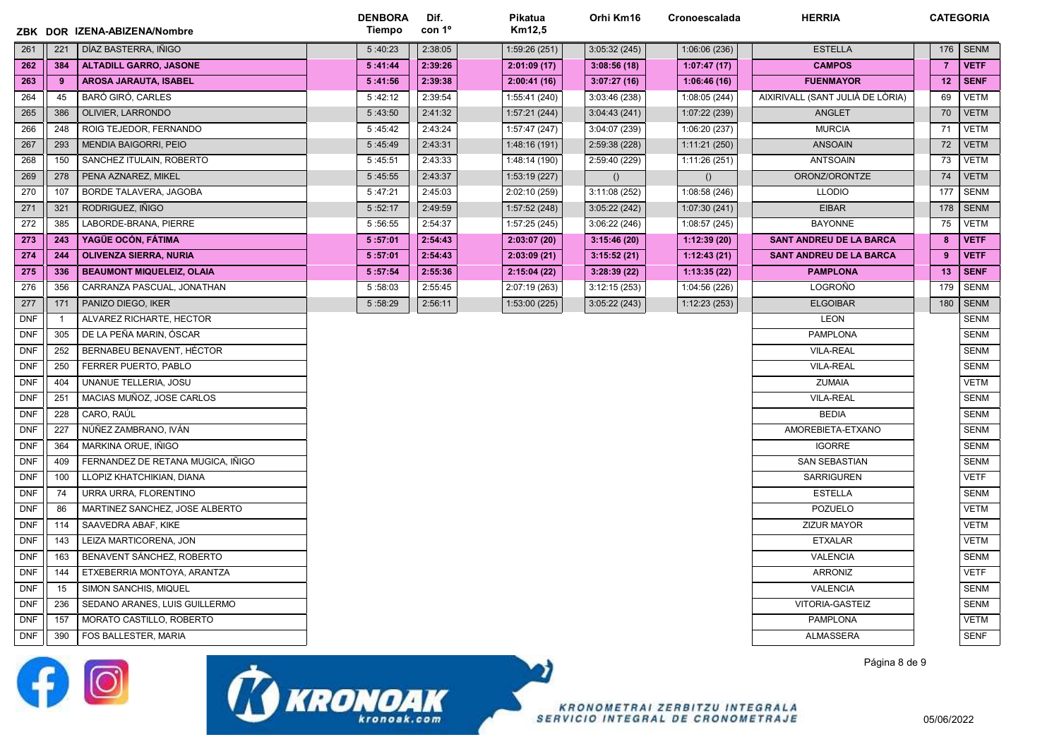|            |                | ZBK DOR IZENA-ABIZENA/Nombre      | <b>DENBORA</b><br>Tiempo | Dif.<br>con 1 <sup>o</sup> | Pikatua<br>Km12,5 | Orhi Km16     | Cronoescalada | <b>HERRIA</b>                    |                | <b>CATEGORIA</b> |
|------------|----------------|-----------------------------------|--------------------------|----------------------------|-------------------|---------------|---------------|----------------------------------|----------------|------------------|
| 261        | 221            | DÍAZ BASTERRA, IÑIGO              | 5:40:23                  | 2:38:05                    | 1:59:26 (251)     | 3:05:32(245)  | 1:06:06(236)  | <b>ESTELLA</b>                   | 176            | <b>SENM</b>      |
| 262        | 384            | <b>ALTADILL GARRO, JASONE</b>     | 5:41:44                  | 2:39:26                    | 2:01:09(17)       | 3:08:56(18)   | 1:07:47(17)   | <b>CAMPOS</b>                    | $\overline{7}$ | <b>VETF</b>      |
| 263        | 9              | <b>AROSA JARAUTA, ISABEL</b>      | 5:41:56                  | 2:39:38                    | 2:00:41(16)       | 3:07:27(16)   | 1:06:46(16)   | <b>FUENMAYOR</b>                 | 12             | <b>SENF</b>      |
| 264        | 45             | BARÓ GIRÓ, CARLES                 | 5:42:12                  | 2:39:54                    | 1:55:41 (240)     | 3:03:46 (238) | 1:08:05 (244) | AIXIRIVALL (SANT JULIÀ DE LÒRIA) | 69             | <b>VETM</b>      |
| 265        | 386            | OLIVIER, LARRONDO                 | 5:43:50                  | 2:41:32                    | 1:57:21(244)      | 3:04:43(241)  | 1:07:22 (239) | <b>ANGLET</b>                    | 70             | <b>VETM</b>      |
| 266        | 248            | ROIG TEJEDOR, FERNANDO            | 5:45:42                  | 2:43:24                    | 1:57:47 (247)     | 3:04:07 (239) | 1:06:20 (237) | <b>MURCIA</b>                    | 71             | <b>VETM</b>      |
| 267        | 293            | <b>MENDIA BAIGORRI, PEIO</b>      | 5:45:49                  | 2:43:31                    | 1:48:16(191)      | 2:59:38 (228) | 1:11:21(250)  | <b>ANSOAIN</b>                   | 72             | <b>VETM</b>      |
| 268        | 150            | SANCHEZ ITULAIN, ROBERTO          | 5:45:51                  | 2:43:33                    | 1:48:14 (190)     | 2:59:40 (229) | 1:11:26 (251) | <b>ANTSOAIN</b>                  | 73             | <b>VETM</b>      |
| 269        | 278            | PENA AZNAREZ, MIKEL               | 5:45:55                  | 2:43:37                    | 1:53:19 (227)     | ()            | ()            | ORONZ/ORONTZE                    | 74             | <b>VETM</b>      |
| 270        | 107            | BORDE TALAVERA, JAGOBA            | 5:47:21                  | 2:45:03                    | 2:02:10 (259)     | 3:11:08(252)  | 1:08:58 (246) | <b>LLODIO</b>                    | 177            | <b>SENM</b>      |
| 271        | 321            | RODRIGUEZ, IÑIGO                  | 5:52:17                  | 2:49:59                    | 1:57:52(248)      | 3:05:22 (242) | 1:07:30 (241) | <b>EIBAR</b>                     | 178            | <b>SENM</b>      |
| 272        | 385            | LABORDE-BRANA, PIERRE             | 5:56:55                  | 2:54:37                    | 1:57:25 (245)     | 3:06:22 (246) | 1:08:57 (245) | <b>BAYONNE</b>                   | 75             | <b>VETM</b>      |
| 273        | 243            | YAGÜE OCÓN, FÁTIMA                | 5:57:01                  | 2:54:43                    | 2:03:07(20)       | 3:15:46(20)   | 1:12:39(20)   | <b>SANT ANDREU DE LA BARCA</b>   | 8              | <b>VETF</b>      |
| 274        | 244            | <b>OLIVENZA SIERRA, NURIA</b>     | 5:57:01                  | 2:54:43                    | 2:03:09(21)       | 3:15:52(21)   | 1:12:43(21)   | <b>SANT ANDREU DE LA BARCA</b>   | 9              | <b>VETF</b>      |
| 275        | 336            | <b>BEAUMONT MIQUELEIZ, OLAIA</b>  | 5:57:54                  | 2:55:36                    | 2:15:04(22)       | 3:28:39(22)   | 1:13:35(22)   | <b>PAMPLONA</b>                  | 13             | <b>SENF</b>      |
| 276        | 356            | CARRANZA PASCUAL, JONATHAN        | 5:58:03                  | 2:55:45                    | 2:07:19 (263)     | 3:12:15(253)  | 1:04:56 (226) | LOGROÑO                          | 179            | <b>SENM</b>      |
| 277        | 171            | PANIZO DIEGO, IKER                | 5:58:29                  | 2:56:11                    | 1:53:00 (225)     | 3:05:22(243)  | 1:12:23(253)  | <b>ELGOIBAR</b>                  | 180            | <b>SENM</b>      |
| <b>DNF</b> | $\overline{1}$ | ALVAREZ RICHARTE, HECTOR          |                          |                            |                   |               |               | <b>LEON</b>                      |                | <b>SENM</b>      |
| <b>DNF</b> | 305            | DE LA PEÑA MARIN. ÓSCAR           |                          |                            |                   |               |               | <b>PAMPLONA</b>                  |                | <b>SENM</b>      |
| <b>DNF</b> | 252            | BERNABEU BENAVENT, HÉCTOR         |                          |                            |                   |               |               | <b>VILA-REAL</b>                 |                | <b>SENM</b>      |
| <b>DNF</b> | 250            | FERRER PUERTO, PABLO              |                          |                            |                   |               |               | <b>VILA-REAL</b>                 |                | <b>SENM</b>      |
| <b>DNF</b> | 404            | UNANUE TELLERIA, JOSU             |                          |                            |                   |               |               | <b>ZUMAIA</b>                    |                | <b>VETM</b>      |
| DNF        | 251            | MACIAS MUÑOZ, JOSE CARLOS         |                          |                            |                   |               |               | <b>VILA-REAL</b>                 |                | <b>SENM</b>      |
| <b>DNF</b> | 228            | CARO, RAÚL                        |                          |                            |                   |               |               | <b>BEDIA</b>                     |                | <b>SENM</b>      |
| <b>DNF</b> | 227            | NÚÑEZ ZAMBRANO, IVÁN              |                          |                            |                   |               |               | AMOREBIETA-ETXANO                |                | <b>SENM</b>      |
| <b>DNF</b> | 364            | MARKINA ORUE, IÑIGO               |                          |                            |                   |               |               | <b>IGORRE</b>                    |                | <b>SENM</b>      |
| <b>DNF</b> | 409            | FERNANDEZ DE RETANA MUGICA, IÑIGO |                          |                            |                   |               |               | <b>SAN SEBASTIAN</b>             |                | <b>SENM</b>      |
| <b>DNF</b> | 100            | LLOPIZ KHATCHIKIAN, DIANA         |                          |                            |                   |               |               | <b>SARRIGUREN</b>                |                | <b>VETF</b>      |
| <b>DNF</b> | 74             | URRA URRA, FLORENTINO             |                          |                            |                   |               |               | <b>ESTELLA</b>                   |                | <b>SENM</b>      |
| <b>DNF</b> | 86             | MARTINEZ SANCHEZ, JOSE ALBERTO    |                          |                            |                   |               |               | POZUELO                          |                | <b>VETM</b>      |
| <b>DNF</b> | 114            | SAAVEDRA ABAF, KIKE               |                          |                            |                   |               |               | <b>ZIZUR MAYOR</b>               |                | VETM             |
| <b>DNF</b> | 143            | LEIZA MARTICORENA, JON            |                          |                            |                   |               |               | <b>ETXALAR</b>                   |                | <b>VETM</b>      |
| DNF        | 163            | BENAVENT SÁNCHEZ, ROBERTO         |                          |                            |                   |               |               | <b>VALENCIA</b>                  |                | <b>SENM</b>      |
| <b>DNF</b> | 144            | ETXEBERRIA MONTOYA, ARANTZA       |                          |                            |                   |               |               | <b>ARRONIZ</b>                   |                | <b>VETF</b>      |
| <b>DNF</b> | 15             | SIMON SANCHIS, MIQUEL             |                          |                            |                   |               |               | <b>VALENCIA</b>                  |                | <b>SENM</b>      |
| <b>DNF</b> | 236            | SEDANO ARANES, LUIS GUILLERMO     |                          |                            |                   |               |               | VITORIA-GASTEIZ                  |                | <b>SENM</b>      |
| <b>DNF</b> | 157            | MORATO CASTILLO, ROBERTO          |                          |                            |                   |               |               | <b>PAMPLONA</b>                  |                | <b>VETM</b>      |
| <b>DNF</b> | 390            | FOS BALLESTER, MARIA              |                          |                            |                   |               |               | <b>ALMASSERA</b>                 |                | <b>SENF</b>      |

Página 8 de 9

**KRONOMETRAI ZERBITZU INTEGRALA** SERVICIO INTEGRAL DE CRONOMETRAJE



**TO KRONOAK**